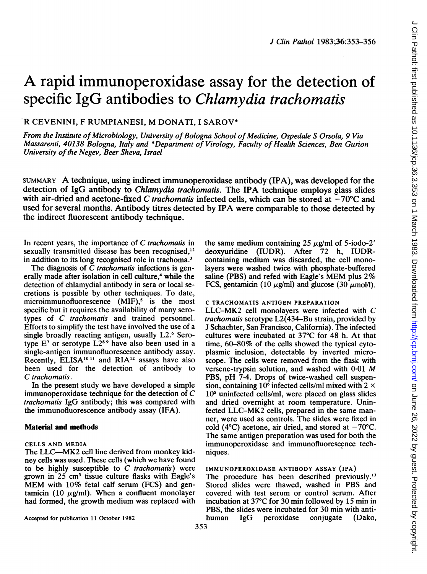# A rapid immunoperoxidase assay for the detection of specific IgG antibodies to *Chlamydia trachomatis*

# R CEVENINI, <sup>F</sup> RUMPIANESI, M DONATI, <sup>I</sup> SAROV\*

From the Institute of Microbiology, University of Bologna School of Medicine, Ospedale S Orsola, 9 Via Massarenti, 40138 Bologna, Italy and \*Department of Virology, Faculty of Health Sciences, Ben Gurion University of the Negev, Beer Sheva, Israel

SUMMARY A technique, using indirect immunoperoxidase antibody (IPA), was developed for the detection of IgG antibody to Chlamydia trachomatis. The IPA technique employs glass slides with air-dried and acetone-fixed C trachomatis infected cells, which can be stored at  $-70^{\circ}$ C and used for several months. Antibody titres detected by IPA were comparable to those detected by the indirect fluorescent antibody technique.

In recent years, the importance of C trachomatis in sexually transmitted disease has been recognised,<sup>12</sup> in addition to its long recognised role in trachoma.3

The diagnosis of  $\overline{C}$  trachomatis infections is generally made after isolation in cell culture,<sup>4</sup> while the detection of chlamydial antibody in sera or local secretions is possible by other techniques. To date, microimmunofluorescence  $(MIF)$ ,<sup>5</sup> is the most specific but it requires the availability of many serotypes of C trachomatis and trained personnel. Efforts to simplify the test have involved the use of a single broadly reacting antigen, usually L2.<sup>6</sup> Serotype  $E^7$  or serotype  $L2^{8}$ <sup>9</sup> have also been used in a single-antigen immunofluorescence antibody assay. Recently, ELISA<sup>1011</sup> and RIA<sup>12</sup> assays have also been used for the detection of antibody to C trachomatis.

In the present study we have developed a simple immunoperoxidase technique for the detection of C trachomatis IgG antibody; this was compared with the immunofluorescence antibody assay (IFA).

# Material and methods

#### CELLS AND MEDIA

The LLC--MK2 cell line derived from monkey kidney cells was used. These cells (which we have found to be highly susceptible to  $C$  trachomatis) were grown in  $25 \text{ cm}^3$  tissue culture flasks with Eagle's MEM with 10% fetal calf serum (FCS) and gentamicin (10  $\mu$ g/ml). When a confluent monolayer had formed, the growth medium was replaced with

Accepted for publication 11 October 1982

the same medium containing 25  $\mu$ g/ml of 5-iodo-2' deoxyuridine (IUDR). After 72 h, IUDRcontaining medium was discarded, the cell monolayers were washed twice with phosphate-buffered saline (PBS) and refed with Eagle's MEM plus 2% FCS, gentamicin (10  $\mu$ g/ml) and glucose (30  $\mu$ mol/l).

#### C TRACHOMATIS ANTIGEN PREPARATION

LLC-MK2 cell monolayers were infected with C *trachomatis* serotype  $L2(434-Bu \text{ strain}, \text{provided by})$ J Schachter, San Francisco, California). The infected cultures were incubated at 37°C for 48 h. At that time, 60-80% of the cells showed the typical cytoplasmic inclusion, detectable by inverted microscope. The cells were removed from the flask with versene-trypsin solution, and washed with 0-01 M PBS, pH 7-4. Drops of twice-washed cell suspension, containing 10<sup> $\circ$ </sup> infected cells/ml mixed with 2  $\times$  $10<sup>s</sup>$  uninfected cells/ml, were placed on glass slides and dried overnight at room temperature. Uninfected LLC-MK2 cells, prepared in the same manner, were used as controls. The slides were fixed in cold (4 $^{\circ}$ C) acetone, air dried, and stored at  $-70^{\circ}$ C. The same antigen preparation was used for both the immunoperoxidase and immunofluorescence techniques.

# IMMUNOPEROXIDASE ANTIBODY ASSAY (IPA)

The procedure has been described previously.'3 Stored slides were thawed, washed in PBS and covered with test serum or control serum. After incubation at 37°C for 30 min followed by 15 min in PBS, the slides were incubated for 30 min with anti-<br>human IgG peroxidase conjugate (Dako, peroxidase conjugate (Dako,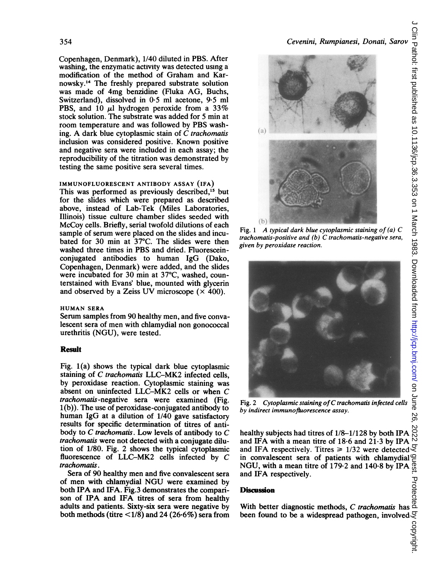Copenhagen, Denmark), 1/40 diluted in PBS. After washing, the enzymatic activity was detected using a modification of the method of Graham and Karnowsky.'4 The freshly prepared substrate solution was made of 4mg benzidine (Fluka AG, Buchs, Switzerland), dissolved in 0\*5 ml acetone, 9-5 ml PBS, and 10  $\mu$ l hydrogen peroxide from a 33% stock solution. The substrate was added for 5 min at room temperature and was followed by PBS washing. A dark blue cytoplasmic stain of  $\dot{C}$  trachomatis inclusion was considered positive. Known positive and negative sera were included in each assay; the reproducibility of the titration was demonstrated by testing the same positive sera several times.

#### IMMUNOFLUORESCENT ANTIBODY ASSAY (IFA)

This was performed as previously described,<sup>15</sup> but for the slides which were prepared as described above, instead of Lab-Tek (Miles Laboratories, Illinois) tissue culture chamber slides seeded with McCoy cells. Briefly, serial twofold dilutions of each sample of serum were placed on the slides and incubated for 30 min at 37°C. The slides were then washed three times in PBS and dried. Fluoresceinconjugated antibodies to human IgG (Dako, Copenhagen, Denmark) were added, and the slides were incubated for 30 min at 37°C, washed, counterstained with Evans' blue, mounted with glycerin and observed by a Zeiss UV microscope  $(\times 400)$ .

# HUMAN SERA

Serum samples from 90 healthy men, and five convalescent sera of men with chlamydial non gonococcal urethritis (NGU), were tested.

# Result

Fig. 1(a) shows the typical dark blue cytoplasmic staining of C trachomatis LLC-MK2 infected cells, by peroxidase reaction. Cytoplasmic staining was absent on uninfected LLC-MK2 cells or when C trachomatis -negative sera were examined (Fig. <sup>1</sup> (b)). The use of peroxidase-conjugated antibody to human IgG at a dilution of 1/40 gave satisfactory results for specific determination of titres of antibody to C trachomatis. Low levels of antibody to C trachomatis were not detected with a conjugate dilution of 1/80. Fig. 2 shows the typical cytoplasmic fluorescence of LLC-MK2 cells infected by C trachomatis.

Sera of 90 healthy men and five convalescent sera of men with chlamydial NGU were examined by both IPA and IFA. Fig.3 demonstrates the comparison of IPA and IFA titres of sera from healthy adults and patients. Sixty-six sera were negative by both methods (titre  $\leq$  1/8) and 24 (26.6%) sera from



Fig. 1 A typical dark blue cytoplasmic staining of  $(a)$  C trachomatis-positive and (b) C trachomatis-negative sera, given by peroxidase reaction.



Fig. <sup>2</sup> Cytoplasmic staining ofC trachomatis infected cells by indirect immunofluorescence assay.

healthy subjects had titres of 1/8-1/128 by both IPA and IFA with a mean titre of  $18.6$  and  $21.3$  by IPA and IFA respectively. Titres  $\geq 1/32$  were detected  $\leq$ in convalescent sera of patients with chlamydial NGU, with <sup>a</sup> mean titre of 179-2 and 140.8 by IPA and IFA respectively.

#### **Discussion**

Discussion<br>Discussion<br>With better diagnostic methods, C trachomatis has ded<br>been found to be a widespread pathogen, involved  $Q$ <br>operations<br>of the contract of the system of the set of the contract of the contract of the co been found to be a widespread pathogen, involved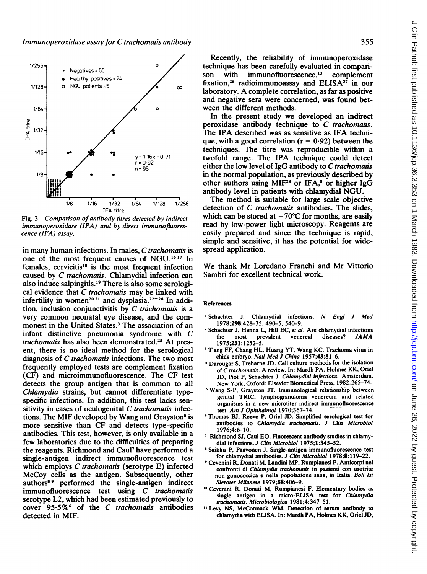

Fig. 3 Comparison of antibody titres detected by indirect  $immunoperoxidase$  (IPA) and by direct immunofluorescence (IFA) assay.

in many human infections. In males, C trachomatis is one of the most frequent causes of NGU.'617 In females, cervicitis<sup>18</sup> is the most frequent infection caused by C trachomatis. Chlamydial infection can also induce salpingitis.'9 There is also some serological evidence that  $C$  trachomatis may be linked with infertility in women<sup>2021</sup> and dysplasia.<sup>22-24</sup> In addition, inclusion conjunctivitis by  $C$  trachomatis is a very common neonatal eye disease, and the commonest in the United States.<sup>3</sup> The association of an infant distinctive pneumonia syndrome with C trachomatis has also been demonstrated.<sup>25</sup> At present, there is no ideal method for the serological diagnosis of C trachomatis infections. The two most frequently employed tests are complement fixation (CF) and microimmunofluorescence. The CF test detects the group antigen that is common to all Chlamydia strains, but cannot differentiate typespecific infections. In addition, this test lacks sensitivity in cases of oculogenital  $C$  trachomatis infections. The MIF developed by Wang and Grayston<sup>5</sup> is more sensitive than CF and detects type-specific antibodies. This test, however, is only available in a few laboratories due to the difficulties of preparing the reagents. Richmond and Caul7 have performed a single-antigen indirect immunofluorescence test which employs C trachomatis (serotype E) infected McCoy cells as the antigen. Subsequently, other authors8 <sup>9</sup> performed the single-antigen indirect immunofluorescence test using C trachomatis serotype L2, which had been estimated previously to cover  $95.5\%$ <sup>6</sup> of the C trachomatis antibodies detected in MIF.

Recently, the reliability of immunoperoxidase technique has been carefully evaluated in comparison with immunofluorescence.<sup>13</sup> complement fixation,<sup>26</sup> radioimmunoassay and ELISA<sup>27</sup> in our laboratory. A complete correlation, as far as positive and negative sera were concerned, was found between the different methods.

In the present study we developed an indirect peroxidase antibody technique to  $C$  trachomatis. The IPA described was as sensitive as IFA technique, with a good correlation ( $r = 0.92$ ) between the techniques. The titre was reproducible within a twofold range. The IPA technique could detect either the low level of  $I \gtrsim G$  antibody to C trachomatis in the normal population, as previously described by other authors using MIF<sup>28</sup> or IFA,<sup>8</sup> or higher IgG antibody level in patients with chlamydial NGU.

The method is suitable for large scale objective detection of C trachomatis antibodies. The slides, which can be stored at  $-70^{\circ}$ C for months, are easily read by low-power light microscopy. Reagents are easily prepared and since the technique is rapid, simple and sensitive, it has the potential for widespread application.

We thank Mr Loredano Franchi and Mr Vittorio Sambri for excellent technical work.

#### References

- <sup>1</sup> Schachter J. Chlamydial infections. N Engl J Med 1978;298:428-35, 490-5, 540-9.
- <sup>2</sup> Schachter J, Hanna L, Hill EC, et al. Are chlamydial infections the most prevalent venereal diseases?  $JAMA$ prevalent 1975;231: 1252-5.
- <sup>3</sup> Tang FF, Chang HL, Huang YT, Wang KC. Trachoma virus in chick embryo. Natl Med J China 1957:43:81-6.
- 4Darougar S, Treharne JD. Cell culture methods for the isolation of C trachomatis. A review. In: Mardh PA, Holmes KK, Oriel JD. Piot P. Schachter J. Chlamydial infections. Amsterdam, New York, Oxford: Elsevier Biomedical Press, 1982:265-74.
- Wang S-P, Grayston JT. Immunological relationship between genital TRIC, lymphogranuloma venereum and related organisms in a new microtiter indirect immunofluorescence test. Am <sup>J</sup> Ophthalmol 1970;367-74.
- Thomas BJ, Reeve P, Oriel JD. Simplified serological test for antibodies to Chlamydia trachomatis. J Clin Microbiol 1976;4:6-10.
- <sup>7</sup> Richmond SJ, Caul EO. Fluorescent antibody studies in chlamydial infections. J Clin Microbiol 1975;1:345-52.
- Saikku P, Paavonen J. Single-antigen immunofluorescence test for chlamydial antibodies. J Clin Microbiol 1978;8:119-22.
- <sup>9</sup> Cevenini R, Donati M, Landini MP, Rumpianesi F. Anticorpi nei confronti di Chlamydia trachomatis in pazienti con uretrite non gonococcica e nella popolazione sana, in Italia. Boll Ist Sieroter Milanese 1979;58:406-9.
- '° Cevenini R, Donati M, Rumpianesi F. Elementary bodies as single antigen in a micro-ELISA test for Chlamydia trachomatis. Microbiologica 1981 ;4:347-51.
- <sup>11</sup> Levy NS, McCormack WM. Detection of serum antibody to chlamydia with ELISA. In: Mardh PA, Holmes KK, Oriel JD,